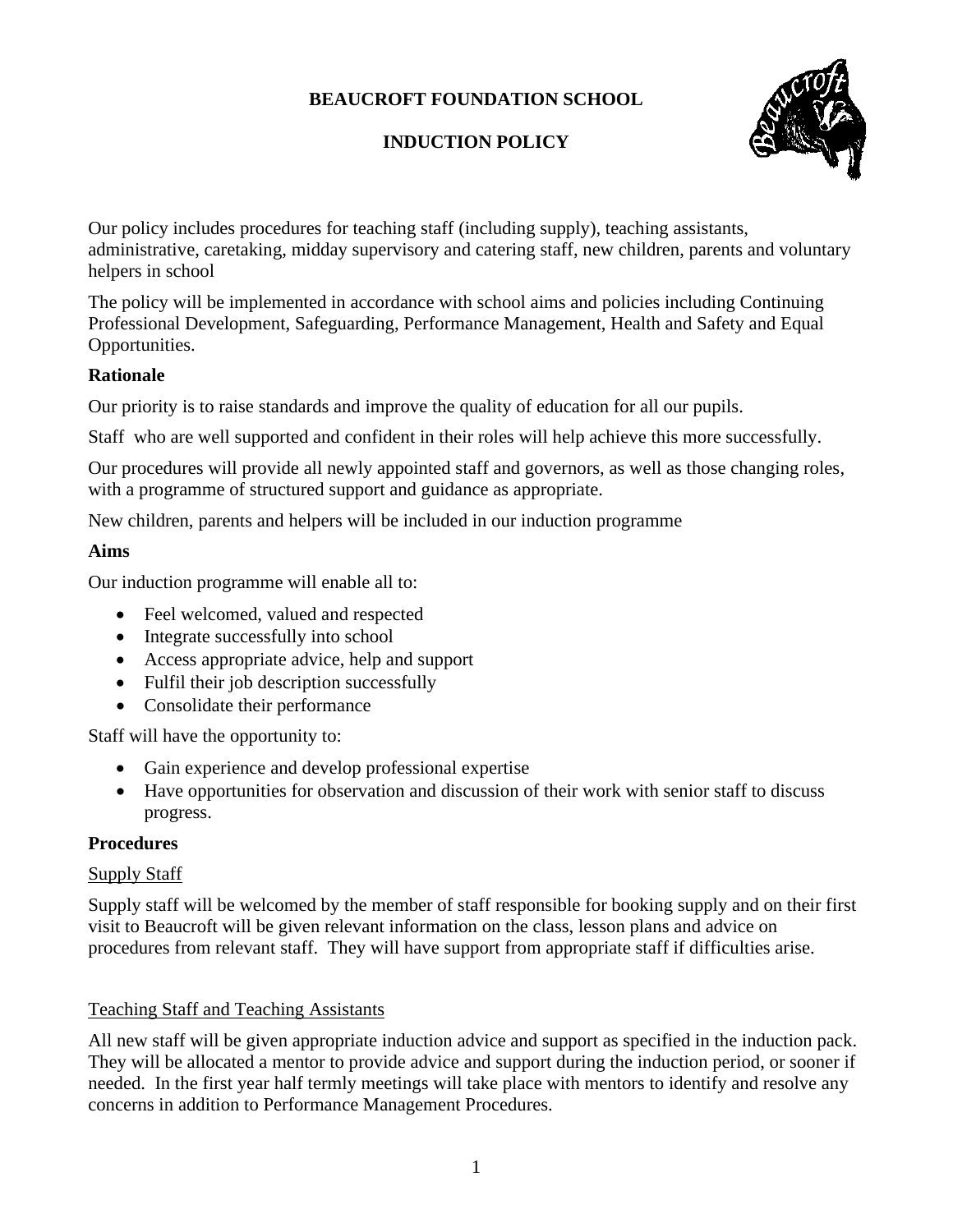# **BEAUCROFT FOUNDATION SCHOOL**

# **INDUCTION POLICY**



Our policy includes procedures for teaching staff (including supply), teaching assistants, administrative, caretaking, midday supervisory and catering staff, new children, parents and voluntary helpers in school

The policy will be implemented in accordance with school aims and policies including Continuing Professional Development, Safeguarding, Performance Management, Health and Safety and Equal Opportunities.

# **Rationale**

Our priority is to raise standards and improve the quality of education for all our pupils.

Staff who are well supported and confident in their roles will help achieve this more successfully.

Our procedures will provide all newly appointed staff and governors, as well as those changing roles, with a programme of structured support and guidance as appropriate.

New children, parents and helpers will be included in our induction programme

# **Aims**

Our induction programme will enable all to:

- Feel welcomed, valued and respected
- Integrate successfully into school
- Access appropriate advice, help and support
- Fulfil their job description successfully
- Consolidate their performance

Staff will have the opportunity to:

- Gain experience and develop professional expertise
- Have opportunities for observation and discussion of their work with senior staff to discuss progress.

# **Procedures**

# Supply Staff

Supply staff will be welcomed by the member of staff responsible for booking supply and on their first visit to Beaucroft will be given relevant information on the class, lesson plans and advice on procedures from relevant staff. They will have support from appropriate staff if difficulties arise.

# Teaching Staff and Teaching Assistants

All new staff will be given appropriate induction advice and support as specified in the induction pack. They will be allocated a mentor to provide advice and support during the induction period, or sooner if needed. In the first year half termly meetings will take place with mentors to identify and resolve any concerns in addition to Performance Management Procedures.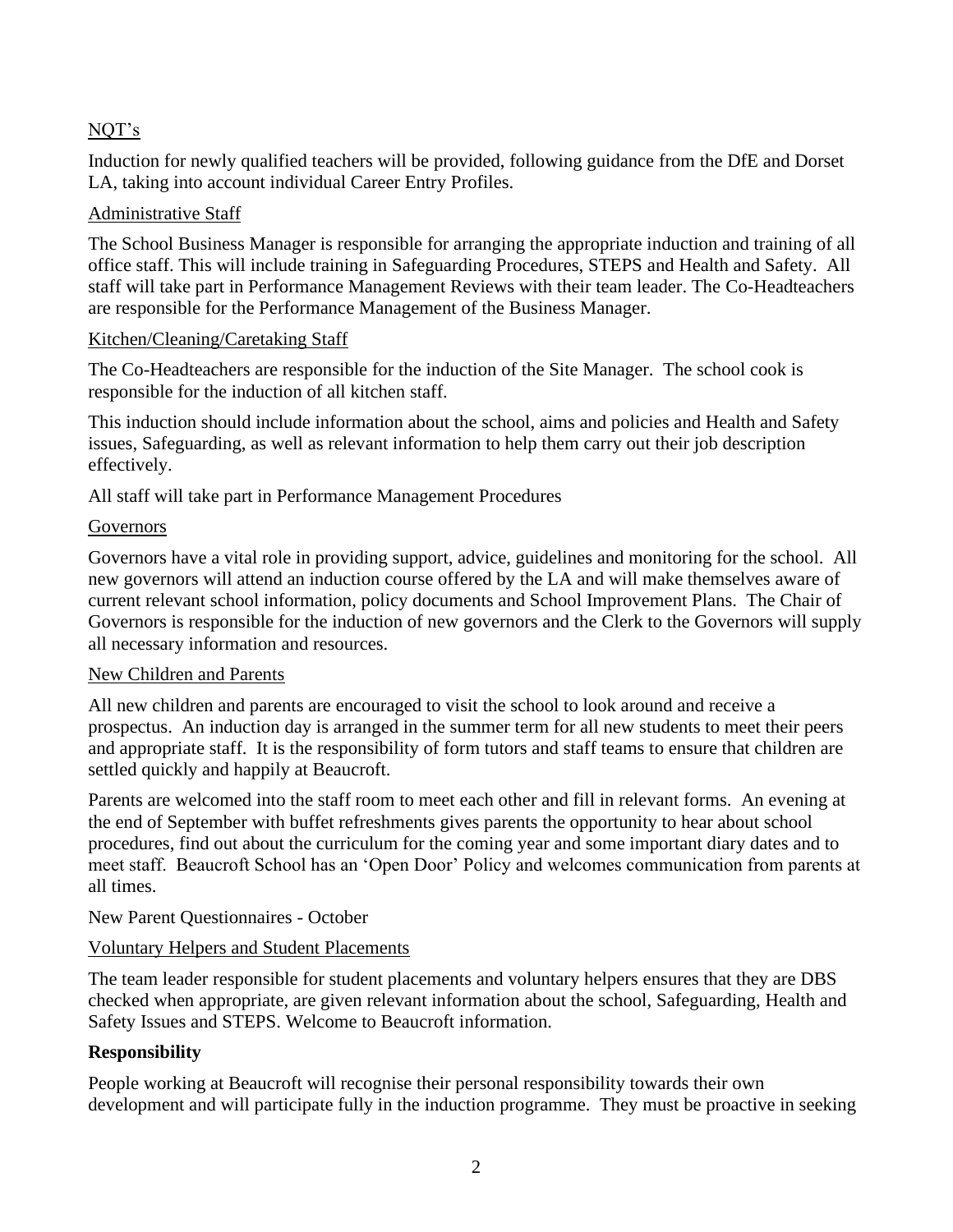# NQT's

Induction for newly qualified teachers will be provided, following guidance from the DfE and Dorset LA, taking into account individual Career Entry Profiles.

# Administrative Staff

The School Business Manager is responsible for arranging the appropriate induction and training of all office staff. This will include training in Safeguarding Procedures, STEPS and Health and Safety. All staff will take part in Performance Management Reviews with their team leader. The Co-Headteachers are responsible for the Performance Management of the Business Manager.

# Kitchen/Cleaning/Caretaking Staff

The Co-Headteachers are responsible for the induction of the Site Manager. The school cook is responsible for the induction of all kitchen staff.

This induction should include information about the school, aims and policies and Health and Safety issues, Safeguarding, as well as relevant information to help them carry out their job description effectively.

All staff will take part in Performance Management Procedures

# Governors

Governors have a vital role in providing support, advice, guidelines and monitoring for the school. All new governors will attend an induction course offered by the LA and will make themselves aware of current relevant school information, policy documents and School Improvement Plans. The Chair of Governors is responsible for the induction of new governors and the Clerk to the Governors will supply all necessary information and resources.

# New Children and Parents

All new children and parents are encouraged to visit the school to look around and receive a prospectus. An induction day is arranged in the summer term for all new students to meet their peers and appropriate staff. It is the responsibility of form tutors and staff teams to ensure that children are settled quickly and happily at Beaucroft.

Parents are welcomed into the staff room to meet each other and fill in relevant forms. An evening at the end of September with buffet refreshments gives parents the opportunity to hear about school procedures, find out about the curriculum for the coming year and some important diary dates and to meet staff. Beaucroft School has an 'Open Door' Policy and welcomes communication from parents at all times.

# New Parent Questionnaires - October

# Voluntary Helpers and Student Placements

The team leader responsible for student placements and voluntary helpers ensures that they are DBS checked when appropriate, are given relevant information about the school, Safeguarding, Health and Safety Issues and STEPS. Welcome to Beaucroft information.

# **Responsibility**

People working at Beaucroft will recognise their personal responsibility towards their own development and will participate fully in the induction programme. They must be proactive in seeking